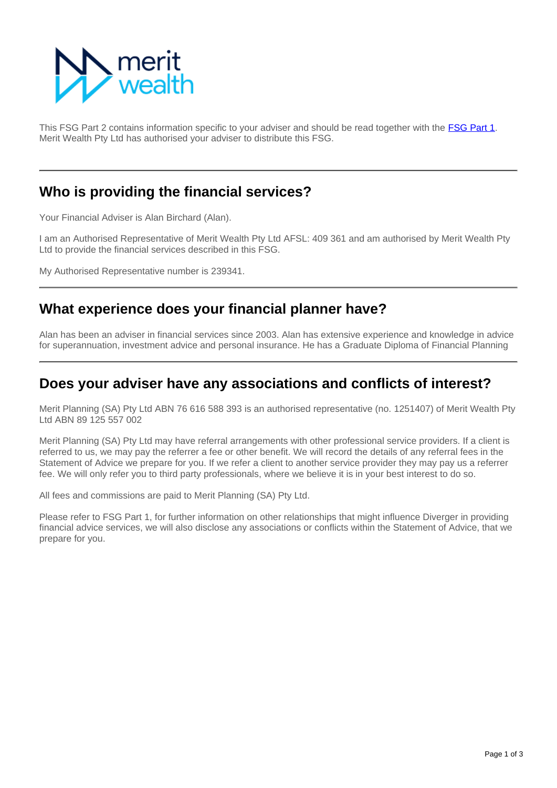

This FSG Part 2 contains information specific to your adviser and should be read together with the FSG Part 1. Merit Wealth Pty Ltd has authorised your adviser to distribute this FSG.

### **Who is providing the financial services?**

Your Financial Adviser is Alan Birchard (Alan).

I am an Authorised Representative of Merit Wealth Pty Ltd AFSL: 409 361 and am authorised by Merit Wealth Pty Ltd to provide the financial services described in this FSG.

My Authorised Representative number is 239341.

## **What experience does your financial planner have?**

Alan has been an adviser in financial services since 2003. Alan has extensive experience and knowledge in advice for superannuation, investment advice and personal insurance. He has a Graduate Diploma of Financial Planning

#### **Does your adviser have any associations and conflicts of interest?**

Merit Planning (SA) Pty Ltd ABN 76 616 588 393 is an authorised representative (no. 1251407) of Merit Wealth Pty Ltd ABN 89 125 557 002

Merit Planning (SA) Pty Ltd may have referral arrangements with other professional service providers. If a client is referred to us, we may pay the referrer a fee or other benefit. We will record the details of any referral fees in the Statement of Advice we prepare for you. If we refer a client to another service provider they may pay us a referrer fee. We will only refer you to third party professionals, where we believe it is in your best interest to do so.

All fees and commissions are paid to Merit Planning (SA) Pty Ltd.

Please refer to FSG Part 1, for further information on other relationships that might influence Diverger in providing financial advice services, we will also disclose any associations or conflicts within the Statement of Advice, that we prepare for you.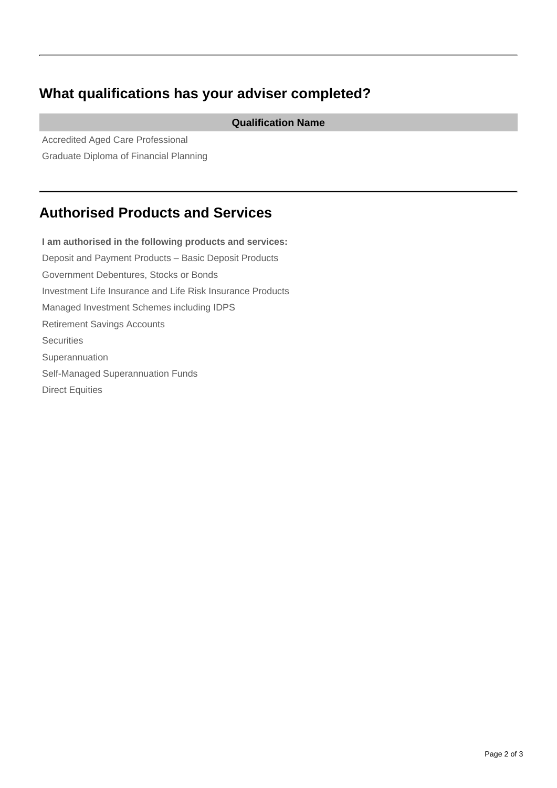# **What qualifications has your adviser completed?**

**Qualification Name**

Accredited Aged Care Professional Graduate Diploma of Financial Planning

# **Authorised Products and Services**

**I am authorised in the following products and services:** Deposit and Payment Products – Basic Deposit Products Government Debentures, Stocks or Bonds Investment Life Insurance and Life Risk Insurance Products Managed Investment Schemes including IDPS Retirement Savings Accounts **Securities** Superannuation Self-Managed Superannuation Funds Direct Equities